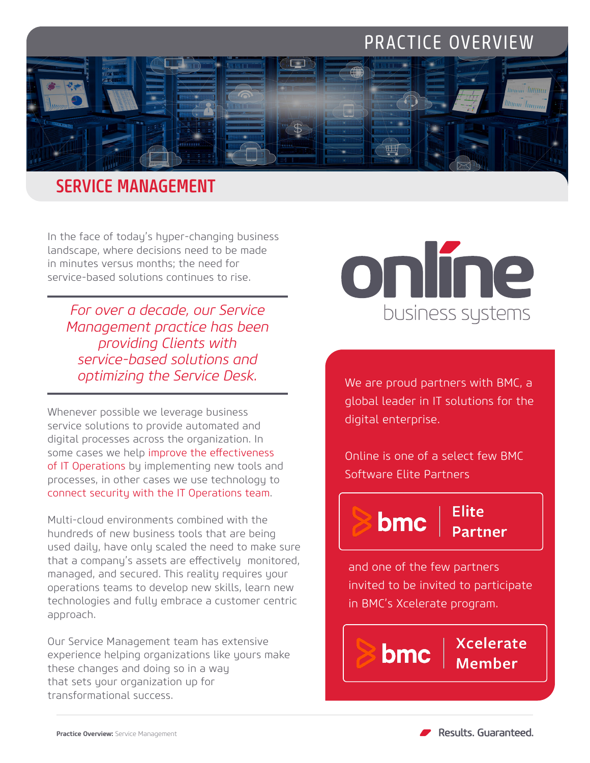# PRACTICE OVERVIEW



### SERVICE MANAGEMENT

In the face of today's hyper-changing business landscape, where decisions need to be made in minutes versus months; the need for service-based solutions continues to rise.

*For over a decade, our Service Management practice has been providing Clients with service-based solutions and optimizing the Service Desk.*

Whenever possible we leverage business service solutions to provide automated and digital processes across the organization. In some cases we help improve the effectiveness of IT Operations by implementing new tools and processes, in other cases we use technology to connect security with the IT Operations team.

Multi-cloud environments combined with the hundreds of new business tools that are being used daily, have only scaled the need to make sure that a company's assets are effectively monitored, managed, and secured. This reality requires your operations teams to develop new skills, learn new technologies and fully embrace a customer centric approach.

Our Service Management team has extensive experience helping organizations like yours make these changes and doing so in a way that sets your organization up for transformational success.



We are proud partners with BMC, a global leader in IT solutions for the digital enterprise.

Online is one of a select few BMC Software Elite Partners



bmc

Elite

and one of the few partners invited to be invited to participate in BMC's Xcelerate program.

> **Xcelerate Member**